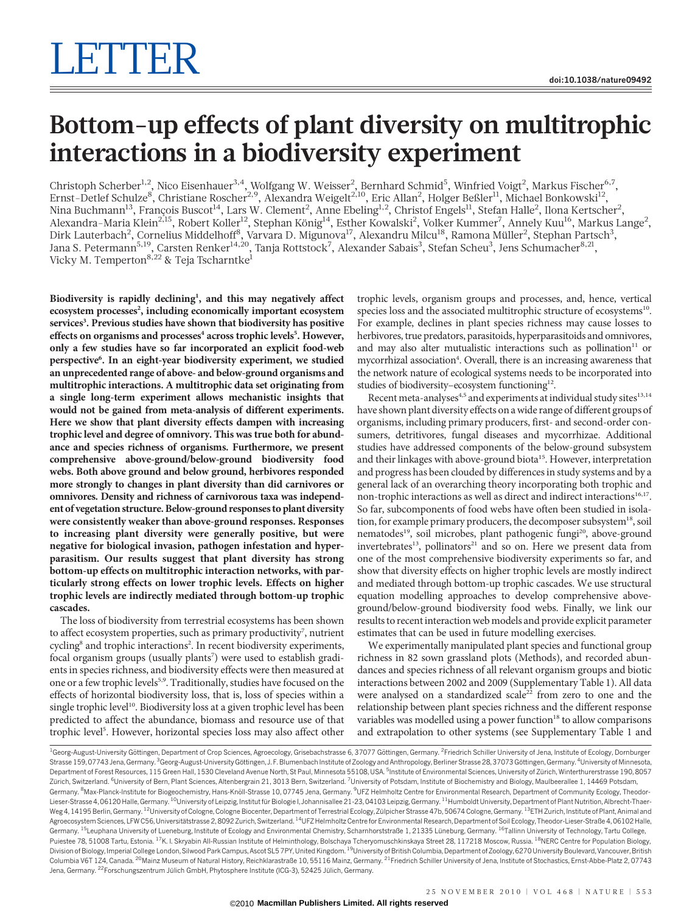## Bottom-up effects of plant diversity on multitrophic interactions in a biodiversity experiment

Christoph Scherber $^{1,2}$ , Nico Eisenhauer $^{3,4}$ , Wolfgang W. Weisser $^2$ , Bernhard Schmid $^5$ , Winfried Voigt $^2$ , Markus Fischer $^{6,7}$ , Ernst-Detlef Schulze<sup>8</sup>, Christiane Roscher<sup>2,9</sup>, Alexandra Weigelt<sup>2,10</sup>, Eric Allan<sup>2</sup>, Holger Beßler<sup>11</sup>, Michael Bonkowski<sup>12</sup>, Nina Buchmann $^{13}$ , François Buscot $^{14}$ , Lars W. Clement $^2$ , Anne Ebeling $^{1,2}$ , Christof Engels $^{11}$ , Stefan Halle $^2$ , Ilona Kertscher $^2$ , Alexandra-Maria Klein<sup>2,15</sup>, Robert Koller<sup>12</sup>, Stephan König<sup>14</sup>, Esther Kowalski<sup>2</sup>, Volker Kummer<sup>7</sup>, Annely Kuu<sup>16</sup>, Markus Lange<sup>2</sup>, Dirk Lauterbach<sup>2</sup>, Cornelius Middelhoff<sup>8</sup>, Varvara D. Migunova<sup>17</sup>, Alexandru Milcu<sup>18</sup>, Ramona Müller<sup>2</sup>, Stephan Partsch<sup>3</sup>, Jana S. Petermann<sup>5,19</sup>, Carsten Renker<sup>14,20</sup>, Tanja Rottstock<sup>7</sup>, Alexander Sabais<sup>3</sup>, Stefan Scheu<sup>3</sup>, Jens Schumacher<sup>8,21</sup>, Vicky M. Temperton<sup>8,22</sup> & Teja Tscharntke<sup>1</sup>

Biodiversity is rapidly declining<sup>1</sup>, and this may negatively affect ecosystem processes<sup>2</sup>, including economically important ecosystem services<sup>3</sup>. Previous studies have shown that biodiversity has positive effects on organisms and processes<sup>4</sup> across trophic levels<sup>5</sup>. However, only a few studies have so far incorporated an explicit food-web perspective<sup>6</sup>. In an eight-year biodiversity experiment, we studied an unprecedented range of above- and below-ground organisms and multitrophic interactions. A multitrophic data set originating from a single long-term experiment allows mechanistic insights that would not be gained from meta-analysis of different experiments. Here we show that plant diversity effects dampen with increasing trophic level and degree of omnivory. This was true both for abundance and species richness of organisms. Furthermore, we present comprehensive above-ground/below-ground biodiversity food webs. Both above ground and below ground, herbivores responded more strongly to changes in plant diversity than did carnivores or omnivores. Density and richness of carnivorous taxa was independent of vegetation structure. Below-ground responses to plant diversity were consistently weaker than above-ground responses. Responses to increasing plant diversity were generally positive, but were negative for biological invasion, pathogen infestation and hyperparasitism. Our results suggest that plant diversity has strong bottom-up effects on multitrophic interaction networks, with particularly strong effects on lower trophic levels. Effects on higher trophic levels are indirectly mediated through bottom-up trophic cascades.

The loss of biodiversity from terrestrial ecosystems has been shown to affect ecosystem properties, such as primary productivity<sup>7</sup>, nutrient cycling<sup>8</sup> and trophic interactions<sup>2</sup>. In recent biodiversity experiments, focal organism groups (usually plants<sup>7</sup>) were used to establish gradients in species richness, and biodiversity effects were then measured at one or a few trophic levels<sup>5,9</sup>. Traditionally, studies have focused on the effects of horizontal biodiversity loss, that is, loss of species within a single trophic level<sup>10</sup>. Biodiversity loss at a given trophic level has been predicted to affect the abundance, biomass and resource use of that trophic level<sup>5</sup>. However, horizontal species loss may also affect other

trophic levels, organism groups and processes, and, hence, vertical species loss and the associated multitrophic structure of ecosystems<sup>10</sup>. For example, declines in plant species richness may cause losses to herbivores, true predators, parasitoids, hyperparasitoids and omnivores, and may also alter mutualistic interactions such as pollination $11$  or mycorrhizal association<sup>4</sup>. Overall, there is an increasing awareness that the network nature of ecological systems needs to be incorporated into studies of biodiversity–ecosystem functioning<sup>12</sup>.

Recent meta-analyses<sup>4,5</sup> and experiments at individual study sites<sup>13,14</sup> have shown plant diversity effects on a wide range of different groups of organisms, including primary producers, first- and second-order consumers, detritivores, fungal diseases and mycorrhizae. Additional studies have addressed components of the below-ground subsystem and their linkages with above-ground biota<sup>15</sup>. However, interpretation and progress has been clouded by differences in study systems and by a general lack of an overarching theory incorporating both trophic and non-trophic interactions as well as direct and indirect interactions<sup>16,17</sup>. So far, subcomponents of food webs have often been studied in isolation, for example primary producers, the decomposer subsystem<sup>18</sup>, soil nematodes<sup>19</sup>, soil microbes, plant pathogenic fungi<sup>20</sup>, above-ground invertebrates<sup>13</sup>, pollinators<sup>21</sup> and so on. Here we present data from one of the most comprehensive biodiversity experiments so far, and show that diversity effects on higher trophic levels are mostly indirect and mediated through bottom-up trophic cascades. We use structural equation modelling approaches to develop comprehensive aboveground/below-ground biodiversity food webs. Finally, we link our results to recent interaction web models and provide explicit parameter estimates that can be used in future modelling exercises.

We experimentally manipulated plant species and functional group richness in 82 sown grassland plots (Methods), and recorded abundances and species richness of all relevant organism groups and biotic interactions between 2002 and 2009 (Supplementary Table 1). All data were analysed on a standardized scale<sup>22</sup> from zero to one and the relationship between plant species richness and the different response variables was modelled using a power function<sup>18</sup> to allow comparisons and extrapolation to other systems (see Supplementary Table 1 and

<sup>1</sup>Georg-August-University Göttingen, Department of Crop Sciences, Agroecology, Grisebachstrasse 6, 37077 Göttingen, Germany. <sup>2</sup>Friedrich Schiller University of Jena, Institute of Ecology, Dornburger Strasse 159,07743 Jena, Germany. <sup>3</sup>Georg-August-University Göttingen, J. F. Blumenbach Institute of Zoology and Anthropology, Berliner Strasse 28, 37073 Göttingen, Germany. <sup>4</sup>University of Minnesota Department of Forest Resources, 115 Green Hall, 1530 Cleveland Avenue North, St Paul, Minnesota 55108, USA. <sup>5</sup>Institute of Environmental Sciences, University of Zürich, Winterthurerstrasse 190, 8057 Zürich, Switzerland. <sup>6</sup>University of Bern, Plant Sciences, Altenbergrain 21, 3013 Bern, Switzerland. <sup>7</sup>University of Potsdam, Institute of Biochemistry and Biology, Maulbeerallee 1, 14469 Potsdam Germany. <sup>8</sup>Max-Planck-Institute for Biogeochemistry, Hans-Knöll-Strasse 10, 07745 Jena, Germany. <sup>9</sup>UFZ Helmholtz Centre for Environmental Research, Department of Community Ecology, Theodor-Lieser-Strasse 4, 06120 Halle, Germany. <sup>10</sup>University of Leipzig, Institut für Biologie I, Johannisallee 21-23, 04103 Leipzig, Germany. <sup>11</sup>Humboldt University, Department of Plant Nutrition, Albrecht-Thaer-Weg 4, 14195 Berlin, Germany. <sup>12</sup>University of Cologne, Cologne Biocenter, Department of Terrestrial Ecology, Zülpicher Strasse 47b, 50674 Cologne, Germany. <sup>13</sup>ETH Zurich, Institute of Plant, Animal and Agroecosystem Sciences, LFW C56, Universitätstrasse 2, 8092 Zurich, Switzerland. <sup>14</sup>UFZ Helmholtz Centre for Environmental Research, Department of Soil Ecology, Theodor-Lieser-Straße 4, 06102 Halle, Germany. <sup>15</sup>Leuphana University of Lueneburg, Institute of Ecology and Environmental Chemistry, Scharnhorststraße 1, 21335 Lüneburg, Germany. <sup>16</sup>Tallinn University of Technology, Tartu College, Puiestee 78, 51008 Tartu, Estonia. <sup>17</sup>K. I. Skryabin All-Russian Institute of Helminthology, Bolschaya Tcheryomuschkinskaya Street 28, 117218 Moscow, Russia. <sup>18</sup>NERC Centre for Population Biology, Division of Biology, Imperial College London, Silwood Park Campus, Ascot SL5 7PY, United Kingdom. <sup>19</sup>University of British Columbia, Department of Zoology, 6270 University Boulevard, Vancouver, British Columbia V6T 1Z4, Canada. <sup>20</sup>Mainz Museum of Natural History, Reichklarastraße 10, 55116 Mainz, Germany. <sup>21</sup>Friedrich Schiller University of Jena, Institute of Stochastics, Ernst-Abbe-Platz 2, 07743 Jena, Germany. <sup>22</sup>Forschungszentrum Jülich GmbH, Phytosphere Institute (ICG-3), 52425 Jülich, Germany.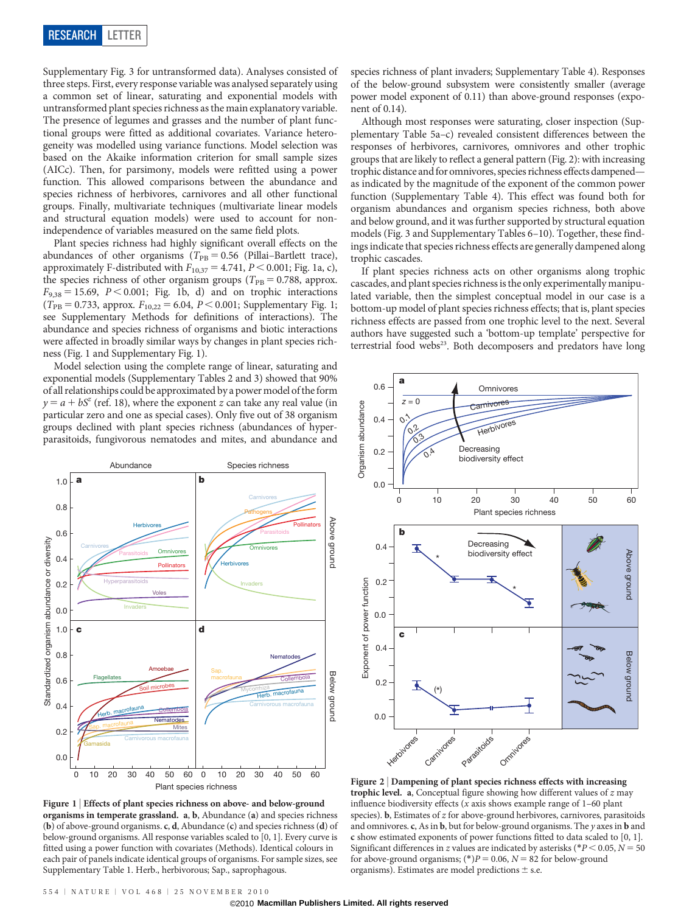Supplementary Fig. 3 for untransformed data). Analyses consisted of three steps. First, every response variable was analysed separately using a common set of linear, saturating and exponential models with untransformed plant species richness as the main explanatory variable. The presence of legumes and grasses and the number of plant functional groups were fitted as additional covariates. Variance heterogeneity was modelled using variance functions. Model selection was based on the Akaike information criterion for small sample sizes (AICc). Then, for parsimony, models were refitted using a power function. This allowed comparisons between the abundance and species richness of herbivores, carnivores and all other functional groups. Finally, multivariate techniques (multivariate linear models and structural equation models) were used to account for nonindependence of variables measured on the same field plots.

Plant species richness had highly significant overall effects on the abundances of other organisms ( $T_{\rm PB} = 0.56$  (Pillai–Bartlett trace), approximately F-distributed with  $F_{10,37} = 4.741$ ,  $P < 0.001$ ; Fig. 1a, c), the species richness of other organism groups ( $T_{PB} = 0.788$ , approx.  $F_{9,38} = 15.69$ ,  $P < 0.001$ ; Fig. 1b, d) and on trophic interactions  $(T_{\text{PB}} = 0.733$ , approx.  $F_{10,22} = 6.04$ ,  $P < 0.001$ ; Supplementary Fig. 1; see Supplementary Methods for definitions of interactions). The abundance and species richness of organisms and biotic interactions were affected in broadly similar ways by changes in plant species richness (Fig. 1 and Supplementary Fig. 1).

Model selection using the complete range of linear, saturating and exponential models (Supplementary Tables 2 and 3) showed that 90% of all relationships could be approximated by a power model of the form  $y = a + bS^z$  (ref. 18), where the exponent z can take any real value (in particular zero and one as special cases). Only five out of 38 organism groups declined with plant species richness (abundances of hyperparasitoids, fungivorous nematodes and mites, and abundance and



Figure 1 | Effects of plant species richness on above- and below-ground organisms in temperate grassland. a, b, Abundance (a) and species richness (b) of above-ground organisms. c, d, Abundance (c) and species richness (d) of below-ground organisms. All response variables scaled to [0, 1]. Every curve is fitted using a power function with covariates (Methods). Identical colours in each pair of panels indicate identical groups of organisms. For sample sizes, see Supplementary Table 1. Herb., herbivorous; Sap., saprophagous.

species richness of plant invaders; Supplementary Table 4). Responses of the below-ground subsystem were consistently smaller (average power model exponent of 0.11) than above-ground responses (exponent of 0.14).

Although most responses were saturating, closer inspection (Supplementary Table 5a–c) revealed consistent differences between the responses of herbivores, carnivores, omnivores and other trophic groups that are likely to reflect a general pattern (Fig. 2): with increasing trophic distance and for omnivores, species richness effects dampened as indicated by the magnitude of the exponent of the common power function (Supplementary Table 4). This effect was found both for organism abundances and organism species richness, both above and below ground, and it was further supported by structural equation models (Fig. 3 and Supplementary Tables 6–10). Together, these findings indicate that species richness effects are generally dampened along trophic cascades.

If plant species richness acts on other organisms along trophic cascades, and plant species richness is the only experimentally manipulated variable, then the simplest conceptual model in our case is a bottom-up model of plant species richness effects; that is, plant species richness effects are passed from one trophic level to the next. Several authors have suggested such a 'bottom-up template' perspective for terrestrial food webs<sup>23</sup>. Both decomposers and predators have long



Figure 2 <sup>|</sup> Dampening of plant species richness effects with increasing trophic level. a, Conceptual figure showing how different values of  $z$  may influence biodiversity effects ( $x$  axis shows example range of  $1-60$  plant species). **, Estimates of**  $z$  **for above-ground herbivores, carnivores, parasitoids** and omnivores. c, As in  $\mathbf{b}$ , but for below-ground organisms. The y axes in  $\mathbf{b}$  and c show estimated exponents of power functions fitted to data scaled to [0, 1]. Significant differences in z values are indicated by asterisks (\* $P < 0.05$ ,  $N = 50$ for above-ground organisms; (\*) $P = 0.06$ ,  $N = 82$  for below-ground organisms). Estimates are model predictions  $\pm$  s.e.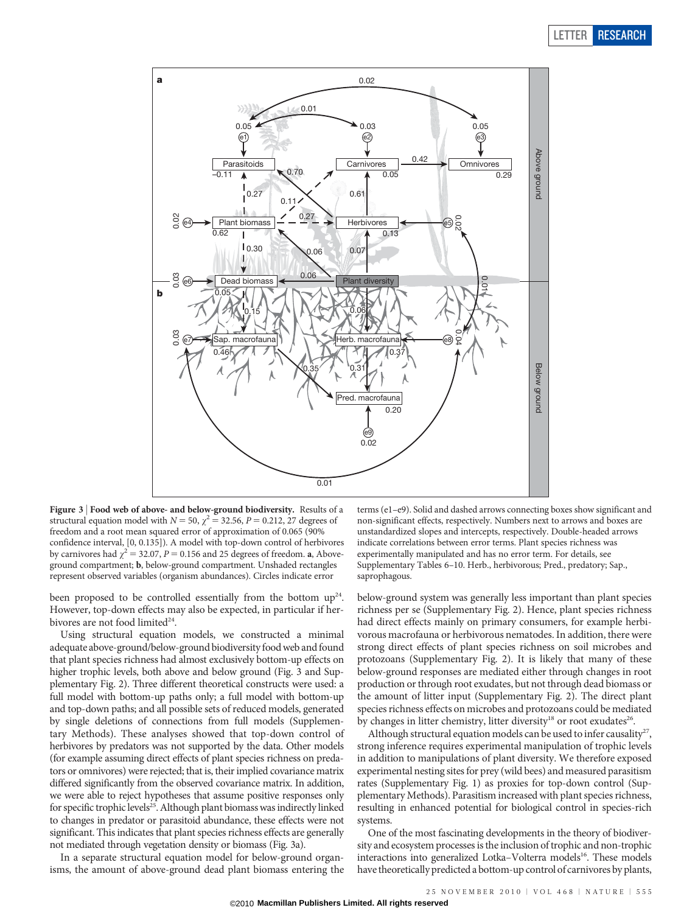## LETTER RESEARCH



Figure 3 | Food web of above- and below-ground biodiversity. Results of a structural equation model with  $N = 50$ ,  $\chi^2 = 32.56$ ,  $P = 0.212$ , 27 degrees of freedom and a root mean squared error of approximation of 0.065 (90% confidence interval, [0, 0.135]). A model with top-down control of herbivores by carnivores had  $\chi^2$  = 32.07, P = 0.156 and 25 degrees of freedom. **a**, Aboveground compartment; b, below-ground compartment. Unshaded rectangles represent observed variables (organism abundances). Circles indicate error

been proposed to be controlled essentially from the bottom  $up^{24}$ . However, top-down effects may also be expected, in particular if herbivores are not food limited<sup>24</sup>.

Using structural equation models, we constructed a minimal adequate above-ground/below-ground biodiversityfood web and found that plant species richness had almost exclusively bottom-up effects on higher trophic levels, both above and below ground (Fig. 3 and Supplementary Fig. 2). Three different theoretical constructs were used: a full model with bottom-up paths only; a full model with bottom-up and top-down paths; and all possible sets of reduced models, generated by single deletions of connections from full models (Supplementary Methods). These analyses showed that top-down control of herbivores by predators was not supported by the data. Other models (for example assuming direct effects of plant species richness on predators or omnivores) were rejected; that is, their implied covariance matrix differed significantly from the observed covariance matrix. In addition, we were able to reject hypotheses that assume positive responses only for specific trophic levels<sup>25</sup>. Although plant biomass was indirectly linked to changes in predator or parasitoid abundance, these effects were not significant. This indicates that plant species richness effects are generally not mediated through vegetation density or biomass (Fig. 3a).

In a separate structural equation model for below-ground organisms, the amount of above-ground dead plant biomass entering the terms (e1–e9). Solid and dashed arrows connecting boxes show significant and non-significant effects, respectively. Numbers next to arrows and boxes are unstandardized slopes and intercepts, respectively. Double-headed arrows indicate correlations between error terms. Plant species richness was experimentally manipulated and has no error term. For details, see Supplementary Tables 6–10. Herb., herbivorous; Pred., predatory; Sap., saprophagous.

below-ground system was generally less important than plant species richness per se (Supplementary Fig. 2). Hence, plant species richness had direct effects mainly on primary consumers, for example herbivorous macrofauna or herbivorous nematodes. In addition, there were strong direct effects of plant species richness on soil microbes and protozoans (Supplementary Fig. 2). It is likely that many of these below-ground responses are mediated either through changes in root production or through root exudates, but not through dead biomass or the amount of litter input (Supplementary Fig. 2). The direct plant species richness effects on microbes and protozoans could be mediated by changes in litter chemistry, litter diversity<sup>18</sup> or root exudates<sup>26</sup>.

Although structural equation models can be used to infer causality<sup>27</sup>, strong inference requires experimental manipulation of trophic levels in addition to manipulations of plant diversity. We therefore exposed experimental nesting sites for prey (wild bees) and measured parasitism rates (Supplementary Fig. 1) as proxies for top-down control (Supplementary Methods). Parasitism increased with plant species richness, resulting in enhanced potential for biological control in species-rich systems.

One of the most fascinating developments in the theory of biodiversity and ecosystem processes is the inclusion of trophic and non-trophic interactions into generalized Lotka–Volterra models<sup>16</sup>. These models have theoretically predicted a bottom-up control of carnivores by plants,